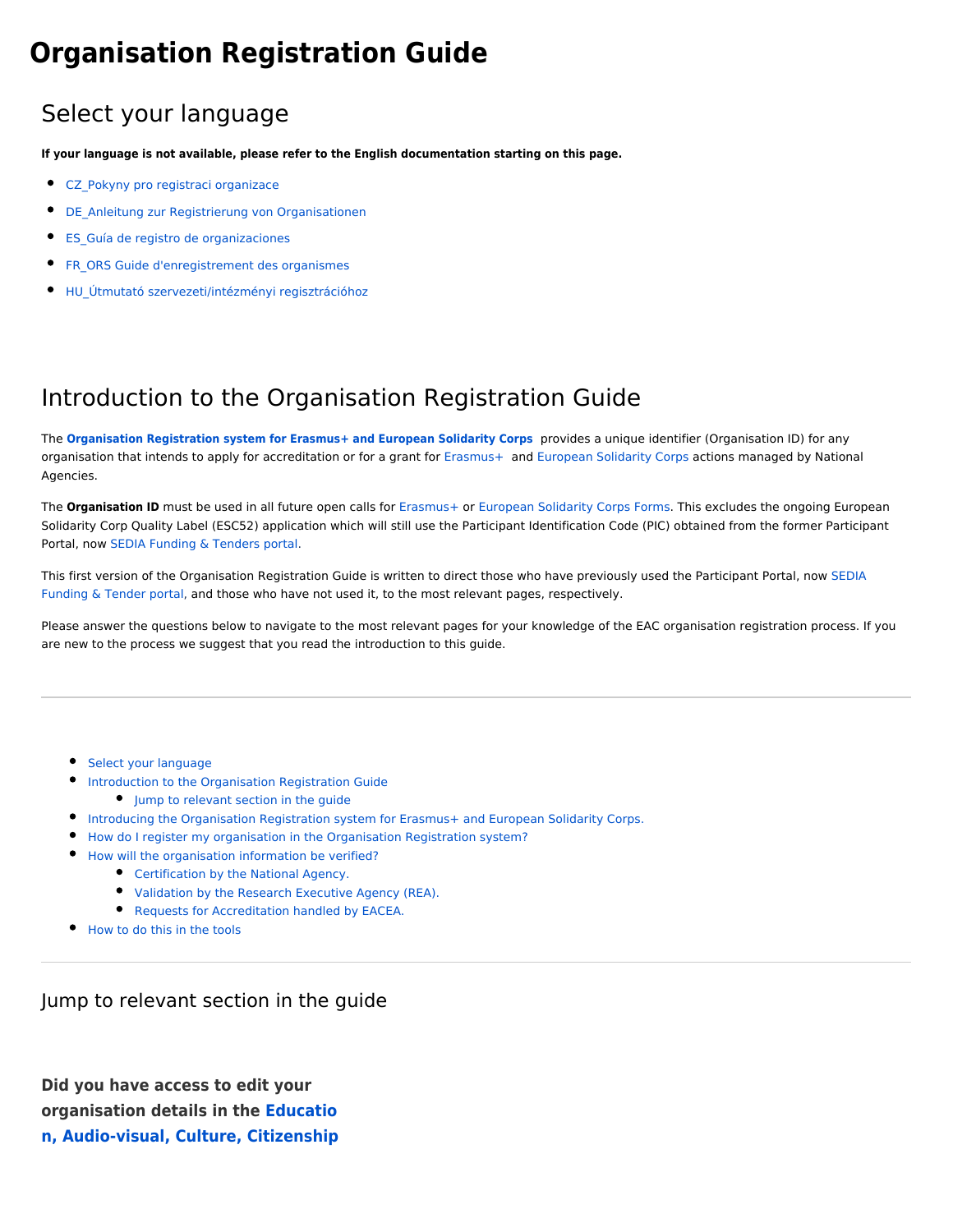# **Organisation Registration Guide**

# <span id="page-0-0"></span>Select your language

**If your language is not available, please refer to the English documentation starting on this page.** 

- [CZ\\_Pokyny pro registraci organizace](https://webgate.ec.europa.eu/fpfis/wikis/display/NAITDOC/CZ_Pokyny+pro+registraci+organizace)
- $\bullet$ DE Anleitung zur Registrierung von Organisationen
- $\bullet$ [ES\\_Guía de registro de organizaciones](https://webgate.ec.europa.eu/fpfis/wikis/pages/viewpage.action?pageId=402194629)
- [FR\\_ORS Guide d'enregistrement des organismes](https://webgate.ec.europa.eu/fpfis/wikis/display/NAITDOC/FR_ORS+Guide+d%27enregistrement+des+organismes)
- [HU\\_Útmutató szervezeti/intézményi regisztrációhoz](https://webgate.ec.europa.eu/fpfis/wikis/pages/viewpage.action?pageId=402194648)

# <span id="page-0-1"></span>Introduction to the Organisation Registration Guide

The **[Organisation Registration system for Erasmus+ and European Solidarity Corps](https://webgate.ec.europa.eu/erasmus-esc/organisation-registration)** provides a unique identifier (Organisation ID) for any organisation that intends to apply for accreditation or for a grant for [Erasmus+](https://ec.europa.eu/programmes/erasmus-plus/resources/programme-guide_en) and [European Solidarity Corps](https://ec.europa.eu/youth/solidarity-corps/how-to-apply_en) actions managed by National Agencies.

The **Organisation ID** must be used in all future open calls for [Erasmus+](https://webgate.ec.europa.eu/erasmus-applications/screen/home) or [European Solidarity Corps Forms.](https://webgate.ec.europa.eu/web-esc/screen/home) This excludes the ongoing European Solidarity Corp Quality Label (ESC52) application which will still use the Participant Identification Code (PIC) obtained from the former Participant Portal, now [SEDIA Funding & Tenders portal](https://ec.europa.eu/info/funding-tenders/opportunities/portal/screen/home).

This first version of the Organisation Registration Guide is written to direct those who have previously used the Participant Portal, now [SEDIA](https://ec.europa.eu/info/funding-tenders/opportunities/portal/screen/home)  [Funding & Tender portal](https://ec.europa.eu/info/funding-tenders/opportunities/portal/screen/home), and those who have not used it, to the most relevant pages, respectively.

Please answer the questions below to navigate to the most relevant pages for your knowledge of the EAC organisation registration process. If you are new to the process we suggest that you read the introduction to this guide.

- **[Select your language](#page-0-0)**
- [Introduction to the Organisation Registration Guide](#page-0-1)
	- **•** [Jump to relevant section in the guide](#page-0-2)
- **[Introducing the Organisation Registration system for Erasmus+ and European Solidarity Corps.](#page-3-0)**
- [How do I register my organisation in the Organisation Registration system?](#page-4-0)
- [How will the organisation information be verified?](#page-6-0)
	- **•** [Certification by the National Agency.](#page-6-1)
	- [Validation by the Research Executive Agency \(REA\).](#page-6-2)
	- [Requests for Accreditation handled by EACEA.](#page-6-3)
- [How to do this in the tools](#page-7-0)

<span id="page-0-2"></span>Jump to relevant section in the guide

**Did you have access to edit your organisation details in the [Educatio](https://webgate.ec.europa.eu/fpfis/wikis/display/NAITDOC/Participant+Portal+Guide) [n, Audio-visual, Culture, Citizenship](https://webgate.ec.europa.eu/fpfis/wikis/display/NAITDOC/Participant+Portal+Guide)**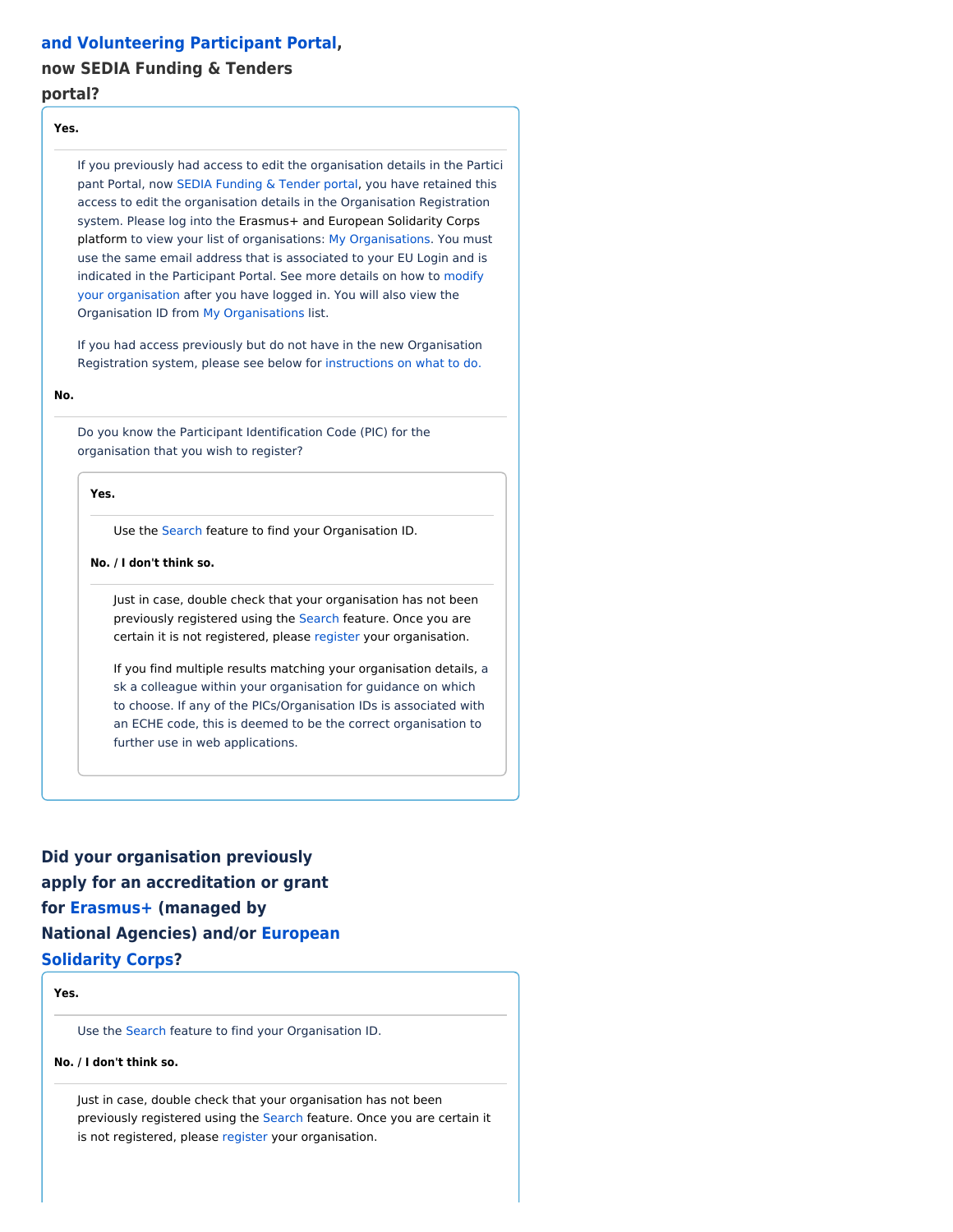#### **[and Volunteering Participant Portal](https://webgate.ec.europa.eu/fpfis/wikis/display/NAITDOC/Participant+Portal+Guide),**

### **now SEDIA Funding & Tenders**

#### **portal?**

#### **Yes.**

If you previously had access to edit the organisation details in the Partici pant Portal, now [SEDIA Funding & Tender portal](https://ec.europa.eu/info/funding-tenders/opportunities/portal/screen/home), you have retained this access to edit the organisation details in the Organisation Registration system. Please log into the Erasmus+ and European Solidarity Corps platform to view your list of organisations: [My Organisations.](https://webgate.ec.europa.eu/fpfis/wikis/display/NAITDOC/OID+My+Organisations) You must use the same email address that is associated to your EU Login and is indicated in the Participant Portal. See more details on how to [modify](https://webgate.ec.europa.eu/fpfis/wikis/display/NAITDOC/OID+Modify+Organisation)  [your organisation](https://webgate.ec.europa.eu/fpfis/wikis/display/NAITDOC/OID+Modify+Organisation) after you have logged in. You will also view the Organisation ID from [My Organisations](https://webgate.ec.europa.eu/fpfis/wikis/display/NAITDOC/OID+My+Organisations) list.

If you had access previously but do not have in the new Organisation Registration system, please see below for [instructions on what to do.](#page-2-0)

**No.**

Do you know the Participant Identification Code (PIC) for the organisation that you wish to register?

**Yes.**

Use the [Search](https://webgate.ec.europa.eu/fpfis/wikis/display/NAITDOC/OID+How+to+search+for+organisations) feature to find your Organisation ID.

**No. / I don't think so.** 

Just in case, double check that your organisation has not been previously registered using the [Search](https://webgate.ec.europa.eu/fpfis/wikis/display/NAITDOC/OID+How+to+search+for+organisations) feature. Once you are certain it is not [register](https://webgate.ec.europa.eu/fpfis/wikis/display/NAITDOC/OID+How+to+register+an+organisation)ed, please register your organisation.

If you find multiple results matching your organisation details, a sk a colleague within your organisation for guidance on which to choose. If any of the PICs/Organisation IDs is associated with an ECHE code, this is deemed to be the correct organisation to further use in web applications.

**Did your organisation previously apply for an accreditation or grant for [Erasmus+](https://ec.europa.eu/programmes/erasmus-plus/resources/programme-guide_en) (managed by National Agencies) and/or [European](https://ec.europa.eu/youth/solidarity-corps/how-to-apply_en)  [Solidarity Corps?](https://ec.europa.eu/youth/solidarity-corps/how-to-apply_en)**

#### **Yes.**

Use the [Search](https://webgate.ec.europa.eu/fpfis/wikis/display/NAITDOC/OID+How+to+search+for+organisations) feature to find your Organisation ID.

#### **No. / I don't think so.**

Just in case, double check that your organisation has not been previously registered using the [Search](https://webgate.ec.europa.eu/fpfis/wikis/display/NAITDOC/OID+How+to+search+for+organisations) feature. Once you are certain it is not [register](https://webgate.ec.europa.eu/fpfis/wikis/display/NAITDOC/OID+How+to+register+an+organisation)ed, please register your organisation.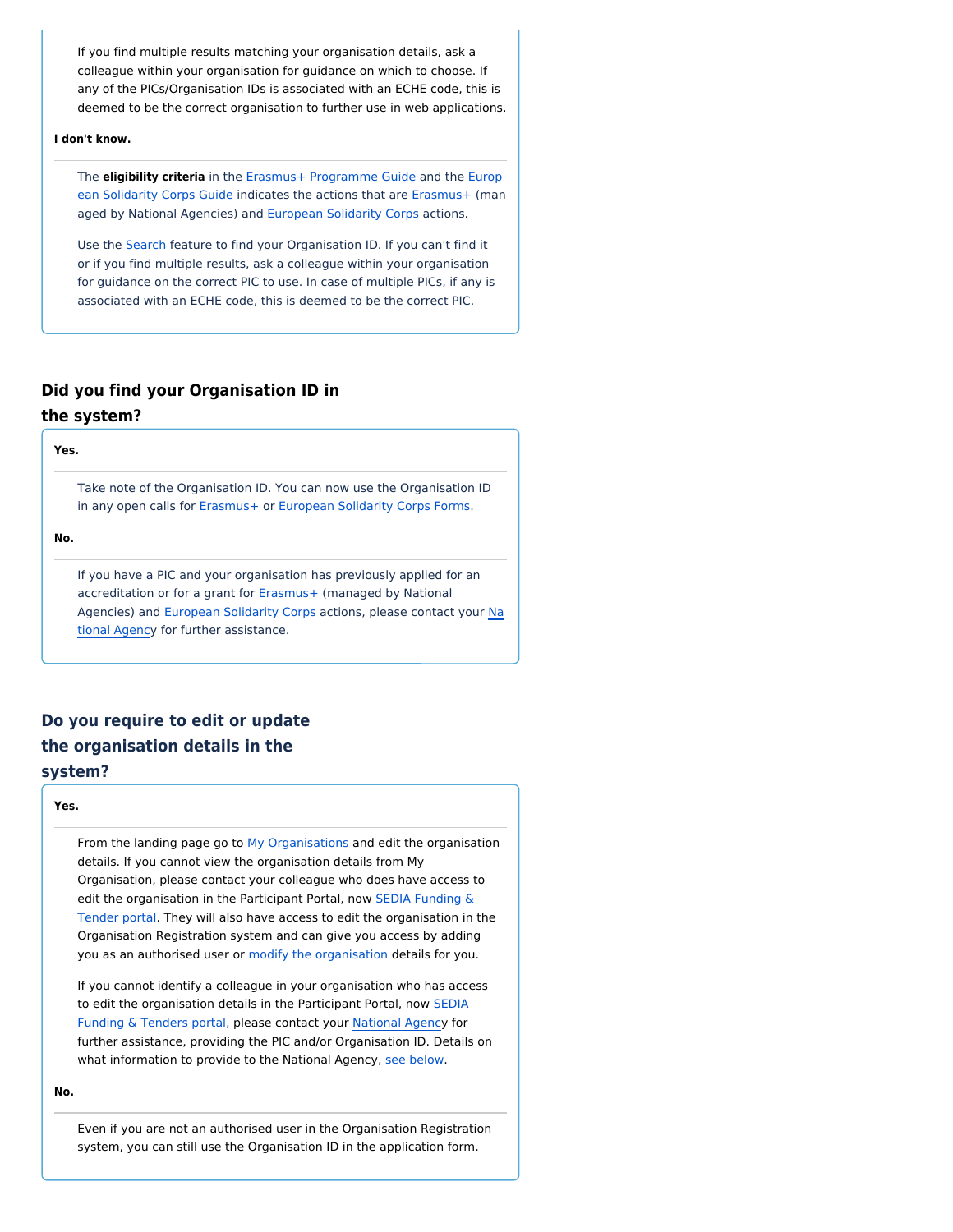If you find multiple results matching your organisation details, ask a colleague within your organisation for guidance on which to choose. If any of the PICs/Organisation IDs is associated with an ECHE code, this is deemed to be the correct organisation to further use in web applications.

#### **I don't know.**

The **eligibility criteria** in the [Erasmus+ Programme Guide](https://ec.europa.eu/programmes/erasmus-plus/resources/programme-guide_en) and the [Europ](https://ec.europa.eu/youth/solidarity-corps/resources-and-contacts_en) [ean Solidarity Corps Guide](https://ec.europa.eu/youth/solidarity-corps/resources-and-contacts_en) indicates the actions that are [Erasmus+](https://ec.europa.eu/programmes/erasmus-plus/resources/programme-guide_en) (man aged by National Agencies) and [European Solidarity Corps](https://ec.europa.eu/youth/solidarity-corps/how-to-apply_en) actions.

Use the [Search](https://webgate.ec.europa.eu/fpfis/wikis/display/NAITDOC/OID+How+to+search+for+organisations) feature to find your Organisation ID. If you can't find it or if you find multiple results, ask a colleague within your organisation for guidance on the correct PIC to use. In case of multiple PICs, if any is associated with an ECHE code, this is deemed to be the correct PIC.

## **Did you find your Organisation ID in**

#### **the system?**

Take note of the Organisation ID. You can now use the Organisation ID in any open calls for [Erasmus+](https://webgate.ec.europa.eu/erasmus-applications/screen/home) or [European Solidarity Corps Forms](https://webgate.ec.europa.eu/web-esc/screen/home).

**No.** 

**Yes.**

If you have a PIC and your organisation has previously applied for an accreditation or for a grant for [Erasmus+](https://ec.europa.eu/programmes/erasmus-plus/resources/programme-guide_en) (managed by National Agencies) and [European Solidarity Corps](https://ec.europa.eu/youth/solidarity-corps/how-to-apply_en) actions, please contact your [Na](https://ec.europa.eu/programmes/erasmus-plus/contact/national-agencies_en) [tional Agency](https://ec.europa.eu/programmes/erasmus-plus/contact/national-agencies_en) for further assistance.

## **Do you require to edit or update the organisation details in the system?**

#### **Yes.**

From the landing page go to [My Organisations](https://webgate.ec.europa.eu/fpfis/wikis/display/NAITDOC/OID+My+Organisations) and edit the organisation details. If you cannot view the organisation details from My Organisation, please contact your colleague who does have access to edit the organisation in the Participant Portal, now [SEDIA Funding &](https://ec.europa.eu/info/funding-tenders/opportunities/portal/screen/home)  [Tender portal.](https://ec.europa.eu/info/funding-tenders/opportunities/portal/screen/home) They will also have access to edit the organisation in the Organisation Registration system and can give you access by adding you as an authorised user or [modify the organisation](https://webgate.ec.europa.eu/fpfis/wikis/display/NAITDOC/OID+Modify+Organisation) details for you.

If you cannot identify a colleague in your organisation who has access to edit the organisation details in the Participant Portal, now [SEDIA](https://ec.europa.eu/info/funding-tenders/opportunities/portal/screen/home)  [Funding & Tenders portal](https://ec.europa.eu/info/funding-tenders/opportunities/portal/screen/home), please contact your [National Agency](https://ec.europa.eu/programmes/erasmus-plus/contact/national-agencies_en) for further assistance, providing the PIC and/or Organisation ID. Details on what information to provide to the National Agency, [see below](#page-2-0).

**No.** 

<span id="page-2-0"></span>Even if you are not an authorised user in the Organisation Registration system, you can still use the Organisation ID in the application form.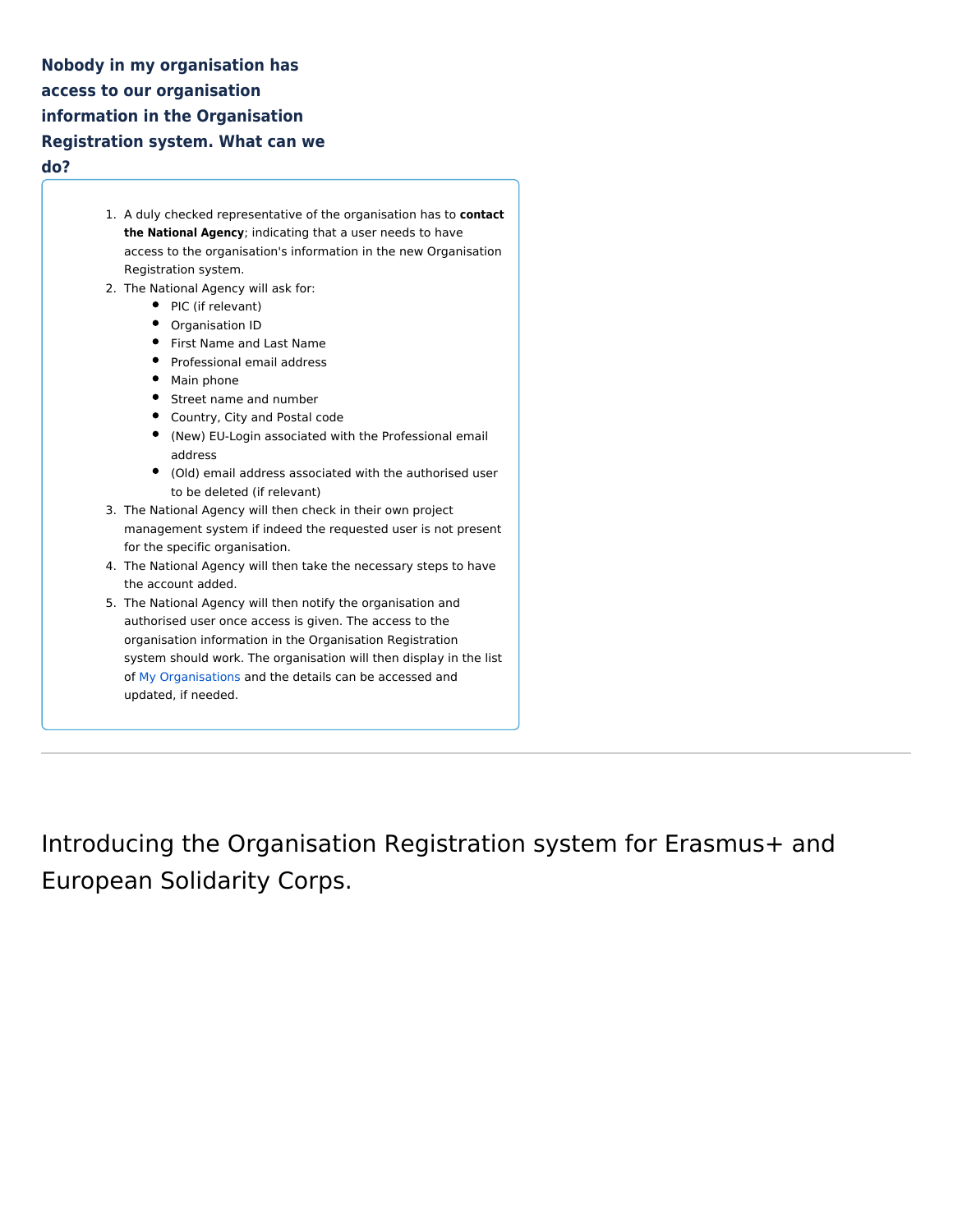**Nobody in my organisation has access to our organisation information in the Organisation Registration system. What can we do?** 

- 1. A duly checked representative of the organisation has to **contact the National Agency**; indicating that a user needs to have access to the organisation's information in the new Organisation Registration system.
- 2. The National Agency will ask for:
	- PIC (if relevant)
	- Organisation ID
	- First Name and Last Name
	- Professional email address
	- Main phone
	- Street name and number
	- Country, City and Postal code
	- (New) EU-Login associated with the Professional email address
	- (Old) email address associated with the authorised user to be deleted (if relevant)
- 3. The National Agency will then check in their own project management system if indeed the requested user is not present for the specific organisation.
- 4. The National Agency will then take the necessary steps to have the account added.
- 5. The National Agency will then notify the organisation and authorised user once access is given. The access to the organisation information in the Organisation Registration system should work. The organisation will then display in the list of [My Organisations](https://webgate.ec.europa.eu/fpfis/wikis/display/NAITDOC/OID+My+Organisations) and the details can be accessed and updated, if needed.

<span id="page-3-0"></span>Introducing the Organisation Registration system for Erasmus+ and European Solidarity Corps.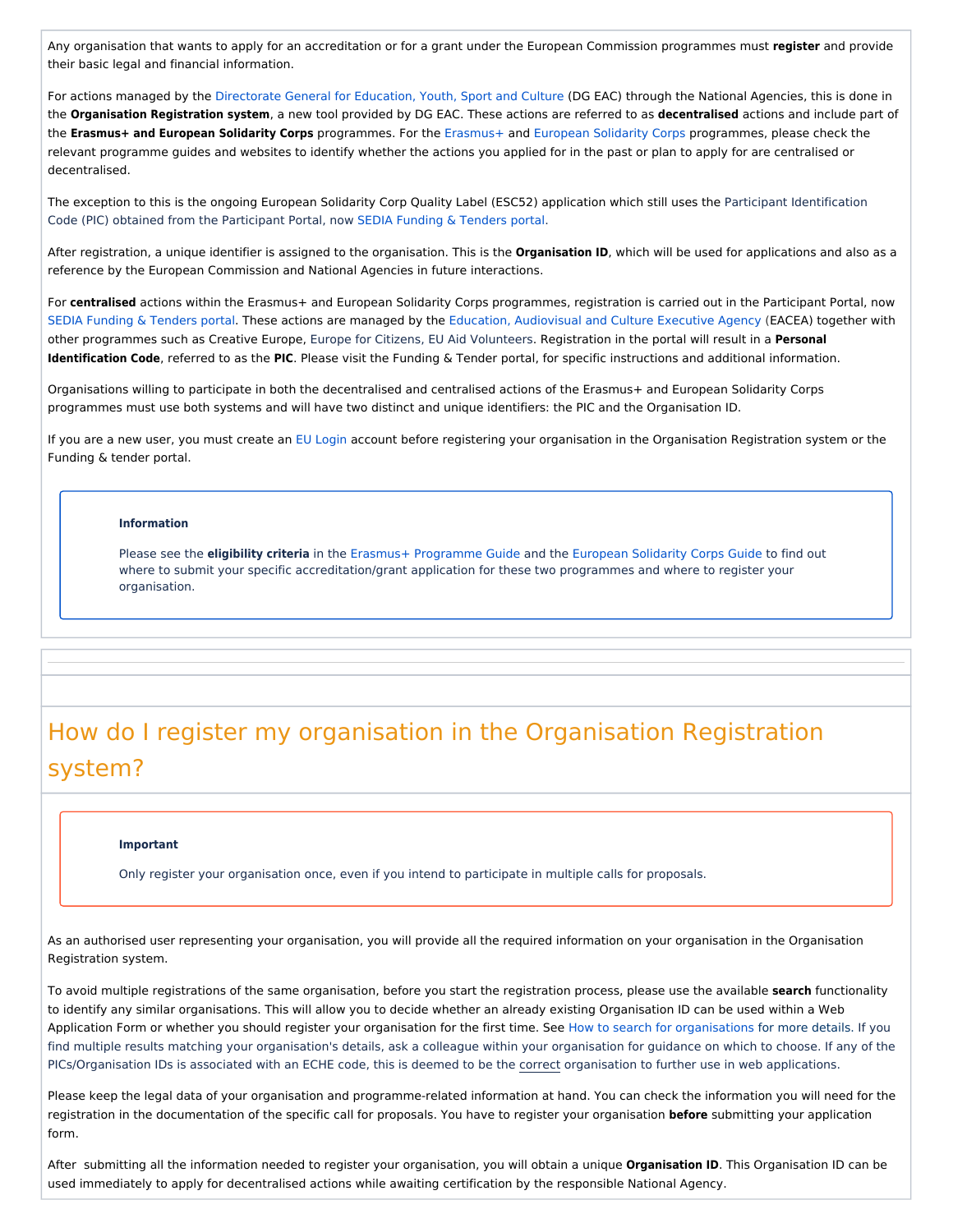Any organisation that wants to apply for an accreditation or for a grant under the European Commission programmes must **register** and provide their basic legal and financial information.

For actions managed by the [Directorate General for Education, Youth, Sport and Culture](https://ec.europa.eu/info/departments/education-youth-sport-and-culture_en) (DG EAC) through the National Agencies, this is done in the **Organisation Registration system**, a new tool provided by DG EAC. These actions are referred to as **decentralised** actions and include part of the **Erasmus+ and European Solidarity Corps** programmes. For the [Erasmus+](https://ec.europa.eu/programmes/erasmus-plus/resources/programme-guide_en) and [European Solidarity Corps](https://ec.europa.eu/youth/solidarity-corps/how-to-apply_en) programmes, please check the relevant programme guides and websites to identify whether the actions you applied for in the past or plan to apply for are centralised or decentralised.

The exception to this is the ongoing European Solidarity Corp Quality Label (ESC52) application which still uses the Participant Identification Code (PIC) obtained from the Participant Portal, now [SEDIA Funding & Tenders portal](https://ec.europa.eu/info/funding-tenders/opportunities/portal/screen/home).

After registration, a unique identifier is assigned to the organisation. This is the **Organisation ID**, which will be used for applications and also as a reference by the European Commission and National Agencies in future interactions.

For **centralised** actions within the Erasmus+ and European Solidarity Corps programmes, registration is carried out in the Participant Portal, now [SEDIA Funding & Tenders portal](https://ec.europa.eu/info/funding-tenders/opportunities/portal/screen/home). These actions are managed by the [Education, Audiovisual and Culture Executive Agency](https://eacea.ec.europa.eu/homepage) (EACEA) together with other programmes such as Creative Europe, Europe for Citizens, EU Aid Volunteers. Registration in the portal will result in a **Personal Identification Code**, referred to as the **PIC**. Please visit the Funding & Tender portal, for specific instructions and additional information.

Organisations willing to participate in both the decentralised and centralised actions of the Erasmus+ and European Solidarity Corps programmes must use both systems and will have two distinct and unique identifiers: the PIC and the Organisation ID.

If you are a new user, you must create an [EU Login](https://webgate.ec.europa.eu/fpfis/wikis/display/NAITDOC/EU+Login+-+European+Commission+Authentication+Service) account before registering your organisation in the Organisation Registration system or the Funding & tender portal.

#### **Information**

Please see the *eligibility criteria* in the [Erasmus+ Programme Guide](https://ec.europa.eu/programmes/erasmus-plus/resources/programme-guide_en) and the [European Solidarity Corps Guide](https://ec.europa.eu/youth/solidarity-corps/resources-and-contacts_en) to find out where to submit your specific accreditation/grant application for these two programmes and where to register your organisation.

# <span id="page-4-0"></span>How do I register my organisation in the Organisation Registration system?

#### **Important**

Only register your organisation once, even if you intend to participate in multiple calls for proposals.

As an authorised user representing your organisation, you will provide all the required information on your organisation in the Organisation Registration system.

To avoid multiple registrations of the same organisation, before you start the registration process, please use the available **search** functionality to identify any similar organisations. This will allow you to decide whether an already existing Organisation ID can be used within a Web Application Form or whether you should register your organisation for the first time. See [How to search for organisations](https://webgate.ec.europa.eu/fpfis/wikis/display/NAITDOC/OID+How+to+search+for+organisations) for more details. If you find multiple results matching your organisation's details, ask a colleague within your organisation for guidance on which to choose. If any of the PICs/Organisation IDs is associated with an ECHE code, this is deemed to be the correct organisation to further use in web applications.

Please keep the legal data of your organisation and programme-related information at hand. You can check the information you will need for the registration in the documentation of the specific call for proposals. You have to register your organisation **before** submitting your application form.

After submitting all the information needed to register your organisation, you will obtain a unique **Organisation ID**. This Organisation ID can be used immediately to apply for decentralised actions while awaiting certification by the responsible National Agency.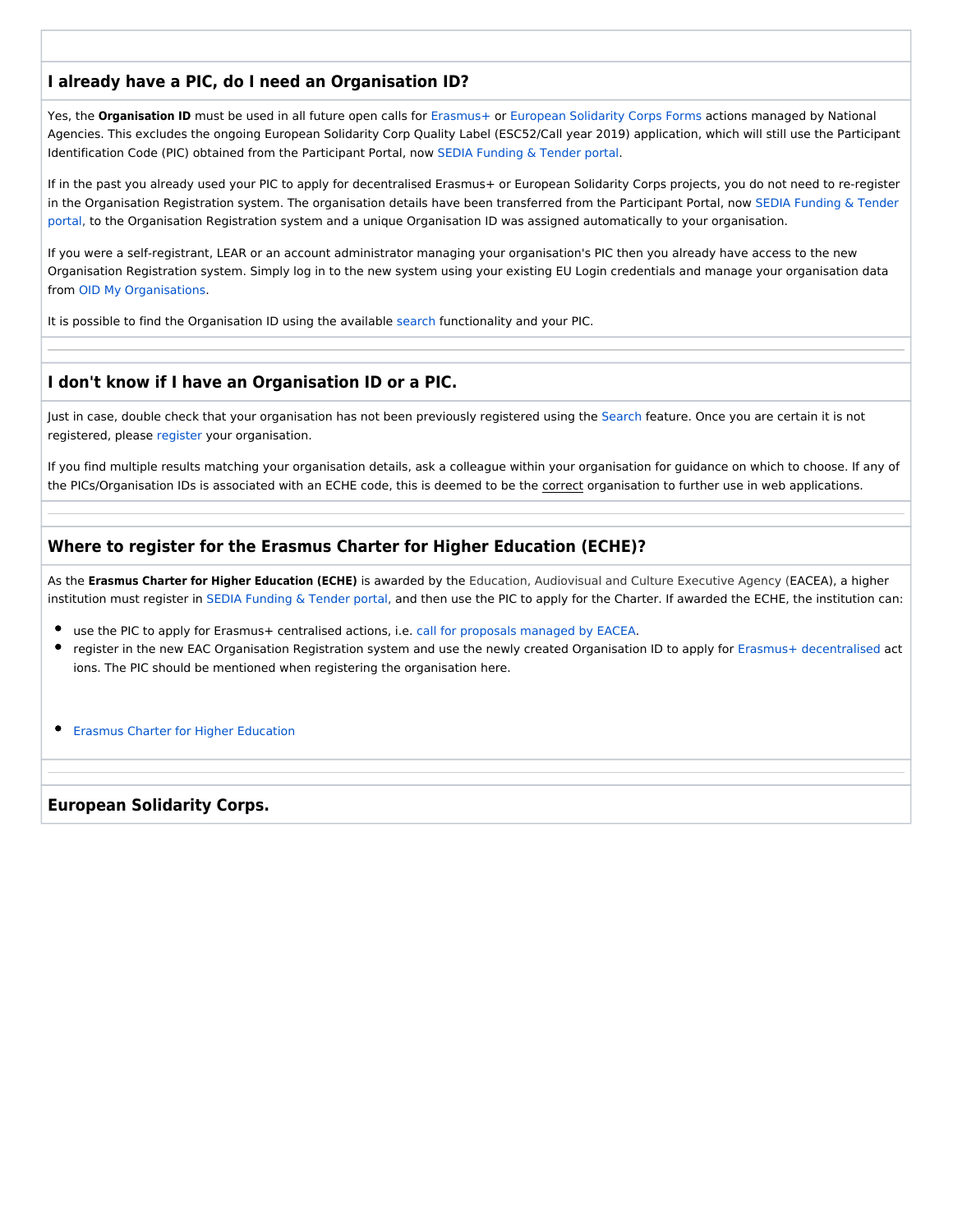## **I already have a PIC, do I need an Organisation ID?**

Yes, the **Organisation ID** must be used in all future open calls for [Erasmus+](https://webgate.ec.europa.eu/erasmus-applications/screen/home) or [European Solidarity Corps Forms](https://webgate.ec.europa.eu/web-esc/screen/home) actions managed by National Agencies. This excludes the ongoing European Solidarity Corp Quality Label (ESC52/Call year 2019) application, which will still use the Participant Identification Code (PIC) obtained from the Participant Portal, now [SEDIA Funding & Tender portal.](https://ec.europa.eu/info/funding-tenders/opportunities/portal/screen/home)

If in the past you already used your PIC to apply for decentralised Erasmus+ or European Solidarity Corps projects, you do not need to re-register in the Organisation Registration system. The organisation details have been transferred from the Participant Portal, now SEDIA Funding & Tender [portal,](https://ec.europa.eu/info/funding-tenders/opportunities/portal/screen/home) to the Organisation Registration system and a unique Organisation ID was assigned automatically to your organisation.

If you were a self-registrant, LEAR or an account administrator managing your organisation's PIC then you already have access to the new Organisation Registration system. Simply log in to the new system using your existing EU Login credentials and manage your organisation data from [OID My Organisations](https://webgate.ec.europa.eu/fpfis/wikis/display/NAITDOC/OID+My+Organisations).

It is possible to find the Organisation ID using the available [search](https://webgate.ec.europa.eu/fpfis/wikis/display/NAITDOC/OID+How+to+search+for+organisations) functionality and your PIC.

## **I don't know if I have an Organisation ID or a PIC.**

Just in case, double check that your organisation has not been previously registered using the [Search](https://webgate.ec.europa.eu/fpfis/wikis/display/NAITDOC/OID+How+to+search+for+organisations) feature. Once you are certain it is not registered, please [register](https://webgate.ec.europa.eu/fpfis/wikis/display/NAITDOC/OID+How+to+register+an+organisation) your organisation.

If you find multiple results matching your organisation details, ask a colleague within your organisation for guidance on which to choose. If any of the PICs/Organisation IDs is associated with an ECHE code, this is deemed to be the correct organisation to further use in web applications.

## **Where to register for the Erasmus Charter for Higher Education (ECHE)?**

As the **Erasmus Charter for Higher Education (ECHE)** is awarded by the Education, Audiovisual and Culture Executive Agency (EACEA), a higher institution must register in [SEDIA Funding & Tender portal](https://ec.europa.eu/info/funding-tenders/opportunities/portal/screen/home), and then use the PIC to apply for the Charter. If awarded the ECHE, the institution can:

- use the PIC to apply for Erasmus+ centralised actions, i.e. [call for proposals managed by EACEA.](https://eacea.ec.europa.eu/erasmus-plus/funding_en)
- register in the new EAC Organisation Registration system and use the newly created Organisation ID to apply for [Erasmus+ decentralised](https://ec.europa.eu/programmes/erasmus-plus/resources/programme-guide_en) act ions. The PIC should be mentioned when registering the organisation here.

**•** [Erasmus Charter for Higher Education](https://ec.europa.eu/programmes/erasmus-plus/resources/documents/applicants/higher-education-charter_en)

**European Solidarity Corps.**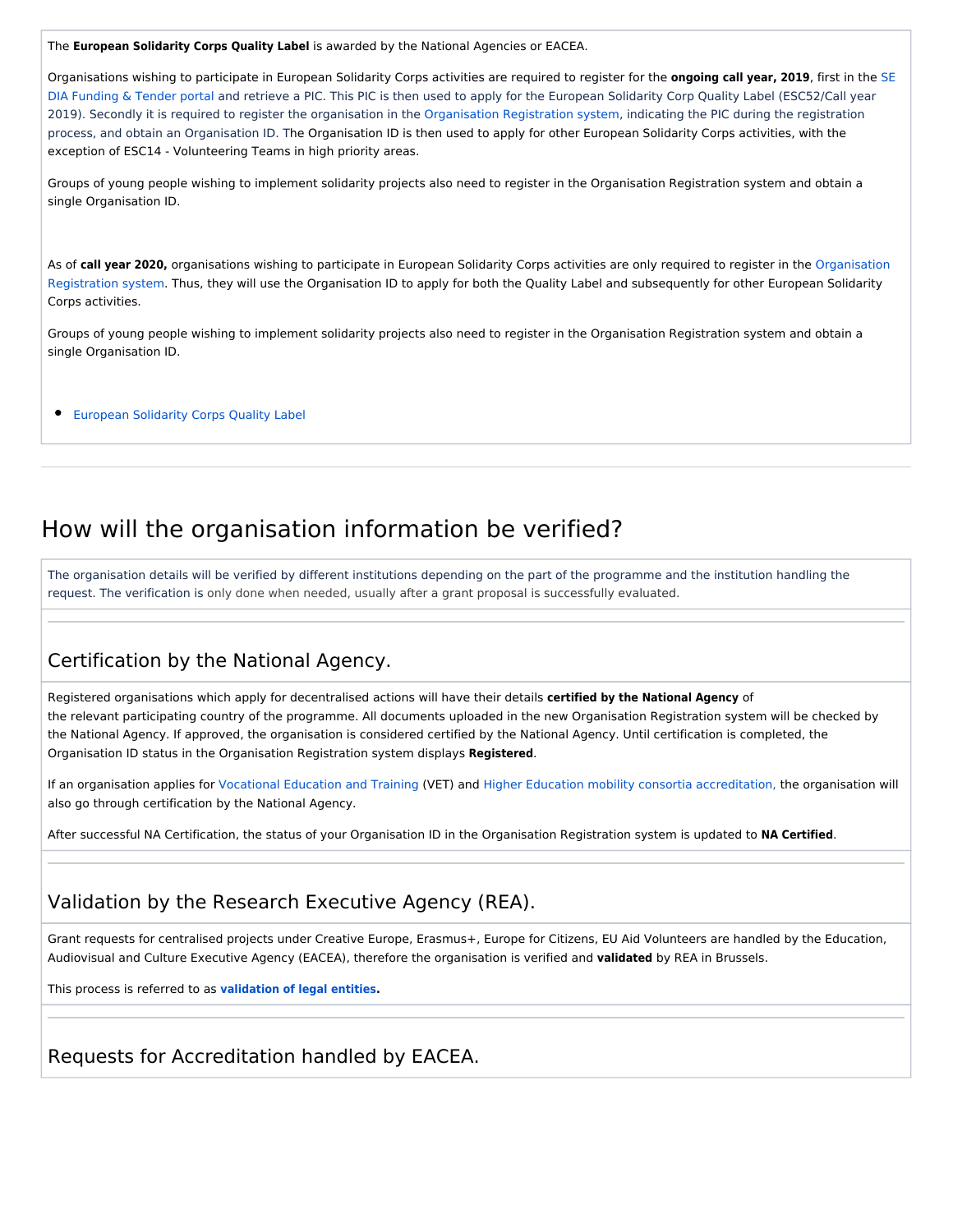The **European Solidarity Corps Quality Label** is awarded by the National Agencies or EACEA.

Organisations wishing to participate in European Solidarity Corps activities are required to register for the **ongoing call year, 2019**, first in the [SE](https://ec.europa.eu/info/funding-tenders/opportunities/portal/screen/home) [DIA Funding & Tender portal](https://ec.europa.eu/info/funding-tenders/opportunities/portal/screen/home) and retrieve a PIC. This PIC is then used to apply for the European Solidarity Corp Quality Label (ESC52/Call year 2019). Secondly it is required to register the organisation in the [Organisation Registration system](https://webgate.ec.europa.eu/erasmus-esc/organisation-registration), indicating the PIC during the registration process, and obtain an Organisation ID. The Organisation ID is then used to apply for other European Solidarity Corps activities, with the exception of ESC14 - Volunteering Teams in high priority areas.

Groups of young people wishing to implement solidarity projects also need to register in the Organisation Registration system and obtain a single Organisation ID.

As of **call year 2020,** organisations wishing to participate in European Solidarity Corps activities are only required to register in the [Organisation](https://webgate.ec.europa.eu/erasmus-esc/organisation-registration)  [Registration system.](https://webgate.ec.europa.eu/erasmus-esc/organisation-registration) Thus, they will use the Organisation ID to apply for both the Quality Label and subsequently for other European Solidarity Corps activities.

Groups of young people wishing to implement solidarity projects also need to register in the Organisation Registration system and obtain a single Organisation ID.

[European Solidarity Corps Quality Label](https://ec.europa.eu/youth/solidarity-corps/quality-label_en)

## <span id="page-6-0"></span>How will the organisation information be verified?

The organisation details will be verified by different institutions depending on the part of the programme and the institution handling the request. The verification is only done when needed, usually after a grant proposal is successfully evaluated.

## <span id="page-6-1"></span>Certification by the National Agency.

Registered organisations which apply for decentralised actions will have their details **certified by the National Agency** of the relevant participating country of the programme. All documents uploaded in the new Organisation Registration system will be checked by the National Agency. If approved, the organisation is considered certified by the National Agency. Until certification is completed, the Organisation ID status in the Organisation Registration system displays **Registered**.

If an organisation applies for [Vocational Education and Training](https://ec.europa.eu/programmes/erasmus-plus/opportunities/vet-learners-and-staff_en) (VET) and [Higher Education mobility consortia accreditation,](https://ec.europa.eu/programmes/erasmus-plus/higher-education-mobility-consortia_en) the organisation will also go through certification by the National Agency.

After successful NA Certification, the status of your Organisation ID in the Organisation Registration system is updated to **NA Certified**.

## <span id="page-6-2"></span>Validation by the Research Executive Agency (REA).

Grant requests for centralised projects under Creative Europe, Erasmus+, Europe for Citizens, EU Aid Volunteers are handled by the Education, Audiovisual and Culture Executive Agency (EACEA), therefore the organisation is verified and **validated** by REA in Brussels.

This process is referred to as **[validation of legal entities.](http://ec.europa.eu/research/participants/data/ref/h2020/grants_manual/lev/h2020-rules-lev-lear-fvc_en.pdf)**

<span id="page-6-3"></span>Requests for Accreditation handled by EACEA.